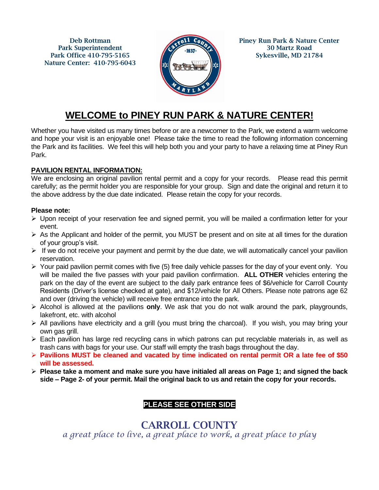Deb Rottman Park Superintendent Park Office 410-795-5165 Nature Center: 410-795-6043



Piney Run Park & Nature Center 30 Martz Road Sykesville, MD 21784

# **WELCOME to PINEY RUN PARK & NATURE CENTER!**

Whether you have visited us many times before or are a newcomer to the Park, we extend a warm welcome and hope your visit is an enjoyable one! Please take the time to read the following information concerning the Park and its facilities. We feel this will help both you and your party to have a relaxing time at Piney Run Park.

### **PAVILION RENTAL INFORMATION:**

We are enclosing an original pavilion rental permit and a copy for your records. Please read this permit carefully; as the permit holder you are responsible for your group. Sign and date the original and return it to the above address by the due date indicated. Please retain the copy for your records.

#### **Please note:**

- $\triangleright$  Upon receipt of your reservation fee and signed permit, you will be mailed a confirmation letter for your event.
- ➢ As the Applicant and holder of the permit, you MUST be present and on site at all times for the duration of your group's visit.
- $\triangleright$  If we do not receive your payment and permit by the due date, we will automatically cancel your pavilion reservation.
- $\triangleright$  Your paid pavilion permit comes with five (5) free daily vehicle passes for the day of your event only. You will be mailed the five passes with your paid pavilion confirmation. **ALL OTHER** vehicles entering the park on the day of the event are subject to the daily park entrance fees of \$6/vehicle for Carroll County Residents (Driver's license checked at gate), and \$12/vehicle for All Others. Please note patrons age 62 and over (driving the vehicle) will receive free entrance into the park.
- ➢ Alcohol is allowed at the pavilions **only**. We ask that you do not walk around the park, playgrounds, lakefront, etc. with alcohol
- ➢ All pavilions have electricity and a grill (you must bring the charcoal). If you wish, you may bring your own gas grill.
- $\triangleright$  Each pavilion has large red recycling cans in which patrons can put recyclable materials in, as well as trash cans with bags for your use. Our staff will empty the trash bags throughout the day.
- ➢ **Pavilions MUST be cleaned and vacated by time indicated on rental permit OR a late fee of \$50 will be assessed.**
- ➢ **Please take a moment and make sure you have initialed all areas on Page 1; and signed the back side – Page 2- of your permit. Mail the original back to us and retain the copy for your records.**

## **PLEASE SEE OTHER SIDE**

CARROLL COUNTY *a great place to live, a great place to work, a great place to play*